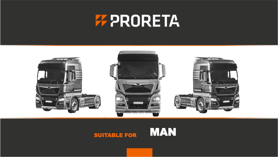# **FF PRORETA**



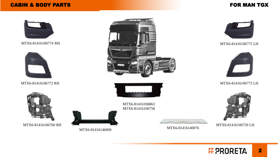### CABIN & BODY PARTS FOR MAN TGX















MTX6-81416106863 MTX6-81416106758

MTX6-81416146009





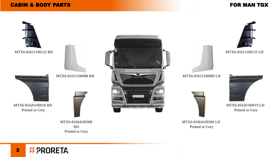### CABIN & BODY PARTS

### FOR MAN TGX



**F PRORETA** 3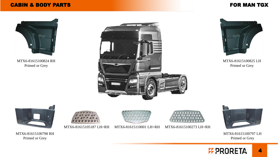### CABIN & BODY PARTS FOR MAN TGX



MTX6-81615100824 RH Primed or Grey





MTX6-81615100825 LH Primed or Grey



MTX6-81615100798 RH Primed or Grey







MTX6-81615100797 LH Primed or Grey

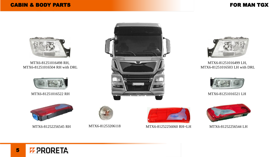

MTX6-81251016498 RH, MTX6-81251016504 RH with DRL









MTX6-81251016499 LH, MTX6-81251016503 LH with DRL









MTX6-81252256545 RH MTX6-81253206118 MTX6-81252256060 RH=LH MTX6-81252256544 LH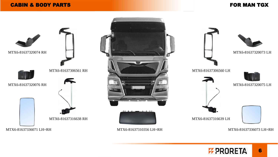### CABIN & BODY PARTS FOR MAN TGX



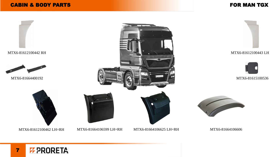### CABIN & BODY PARTS

### FOR MAN TGX



**F PRORETA** 7